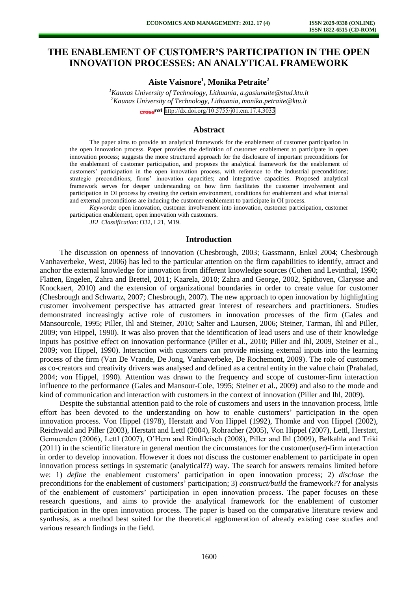# **THE ENABLEMENT OF CUSTOMER'S PARTICIPATION IN THE OPEN INNOVATION PROCESSES: AN ANALYTICAL FRAMEWORK**

**Aiste Vaisnore<sup>1</sup> , Monika Petraite<sup>2</sup>**

*<sup>1</sup>Kaunas University of Technology, Lithuania, a.gasiunaite@stud.ktu.lt <sup>2</sup>Kaunas University of Technology, Lithuania, monika.petraite@ktu.lt*  cross<sup>ref</sup> <http://dx.doi.org/10.5755/j01.em.17.4.3035>

#### **Abstract**

The paper aims to provide an analytical framework for the enablement of customer participation in the open innovation process. Paper provides the definition of customer enablement to participate in open innovation process; suggests the more structured approach for the disclosure of important preconditions for the enablement of customer participation, and proposes the analytical framework for the enablement of customers' participation in the open innovation process, with reference to the industrial preconditions; strategic preconditions; firms' innovation capacities; and integrative capacities. Proposed analytical framework serves for deeper understanding on how firm facilitates the customer involvement and participation in OI process by creating the certain environment, conditions for enablement and what internal and external preconditions are inducing the customer enablement to participate in OI process.

*Keywords*: open innovation, customer involvement into innovation, customer participation, customer participation enablement, open innovation with customers.

*JEL Classification*: O32, L21, M19.

#### **Introduction**

The discussion on openness of innovation (Chesbrough, 2003; Gassmann, Enkel 2004; Chesbrough Vanhaverbeke, West, 2006) has led to the particular attention on the firm capabilities to identify, attract and anchor the external knowledge for innovation from different knowledge sources (Cohen and Levinthal, 1990; Flatten, Engelen, Zahra and Brettel, 2011; Kaarela, 2010; Zahra and George, 2002, Spithoven, Clarysse and Knockaert, 2010) and the extension of organizational boundaries in order to create value for customer (Chesbrough and Schwartz, 2007; Chesbrough, 2007). The new approach to open innovation by highlighting customer involvement perspective has attracted great interest of researchers and practitioners. Studies demonstrated increasingly active role of customers in innovation processes of the firm (Gales and Mansourcole, 1995; Piller, Ihl and Steiner, 2010; Salter and Laursen, 2006; Steiner, Tarman, Ihl and Piller, 2009; von Hippel, 1990). It was also proven that the identification of lead users and use of their knowledge inputs has positive effect on innovation performance (Piller et al., 2010; Piller and Ihl, 2009, Steiner et al., 2009; von Hippel, 1990). Interaction with customers can provide missing external inputs into the learning process of the firm (Van De Vrande, De Jong, Vanhaverbeke, De Rochemont, 2009). The role of customers as co-creators and creativity drivers was analysed and defined as a central entity in the value chain (Prahalad, 2004; von Hippel, 1990). Attention was drawn to the frequency and scope of customer-firm interaction influence to the performance (Gales and Mansour-Cole, 1995; Steiner et al., 2009) and also to the mode and kind of communication and interaction with customers in the context of innovation (Piller and Ihl, 2009).

Despite the substantial attention paid to the role of customers and users in the innovation process, little effort has been devoted to the understanding on how to enable customers' participation in the open innovation process. Von Hippel (1978), Herstatt and Von Hippel (1992), Thomke and von Hippel (2002), Reichwald and Piller (2003), Herstatt and Lettl (2004), Rohracher (2005), Von Hippel (2007), Lettl, Herstatt, Gemuenden (2006), Lettl (2007), O'Hern and Rindfleisch (2008), Piller and Ihl (2009), Belkahla and Triki (2011) in the scientific literature in general mention the circumstances for the customer(user)-firm interaction in order to develop innovation. However it does not discuss the customer enablement to participate in open innovation process settings in systematic (analytical??) way. The search for answers remains limited before we: 1) *define* the enablement customers' participation in open innovation process; 2) *disclose* the preconditions for the enablement of customers' participation; 3) *construct/build* the framework?? for analysis of the enablement of customers' participation in open innovation process. The paper focuses on these research questions, and aims to provide the analytical framework for the enablement of customer participation in the open innovation process. The paper is based on the comparative literature review and synthesis, as a method best suited for the theoretical agglomeration of already existing case studies and various research findings in the field.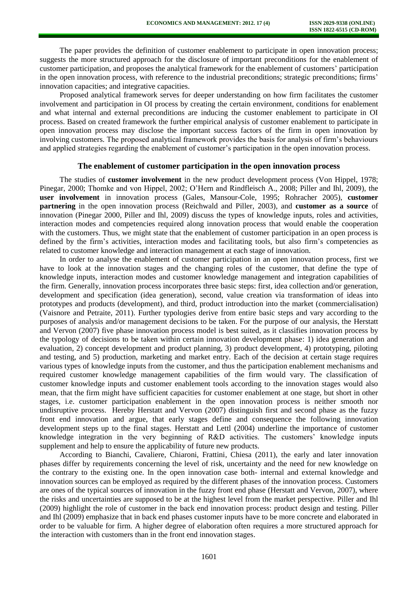The paper provides the definition of customer enablement to participate in open innovation process; suggests the more structured approach for the disclosure of important preconditions for the enablement of customer participation, and proposes the analytical framework for the enablement of customers' participation in the open innovation process, with reference to the industrial preconditions; strategic preconditions; firms' innovation capacities; and integrative capacities.

Proposed analytical framework serves for deeper understanding on how firm facilitates the customer involvement and participation in OI process by creating the certain environment, conditions for enablement and what internal and external preconditions are inducing the customer enablement to participate in OI process. Based on created framework the further empirical analysis of customer enablement to participate in open innovation process may disclose the important success factors of the firm in open innovation by involving customers. The proposed analytical framework provides the basis for analysis of firm's behaviours and applied strategies regarding the enablement of customer's participation in the open innovation process.

## **The enablement of customer participation in the open innovation process**

The studies of **customer involvement** in the new product development process (Von Hippel, 1978; Pinegar, 2000; Thomke and von Hippel, 2002; O'Hern and Rindfleisch A., 2008; Piller and Ihl, 2009), the **user involvement** in innovation process (Gales, Mansour-Cole, 1995; Rohracher 2005), **customer partnering** in the open innovation process (Reichwald and Piller, 2003), and **customer as a source** of innovation (Pinegar 2000, Piller and Ihl, 2009) discuss the types of knowledge inputs, roles and activities, interaction modes and competencies required along innovation process that would enable the cooperation with the customers. Thus, we might state that the enablement of customer participation in an open process is defined by the firm's activities, interaction modes and facilitating tools, but also firm's competencies as related to customer knowledge and interaction management at each stage of innovation.

In order to analyse the enablement of customer participation in an open innovation process, first we have to look at the innovation stages and the changing roles of the customer, that define the type of knowledge inputs, interaction modes and customer knowledge management and integration capabilities of the firm. Generally, innovation process incorporates three basic steps: first, idea collection and/or generation, development and specification (idea generation), second, value creation via transformation of ideas into prototypes and products (development), and third, product introduction into the market (commercialisation) (Vaisnore and Petraite, 2011). Further typologies derive from entire basic steps and vary according to the purposes of analysis and/or management decisions to be taken. For the purpose of our analysis, the Herstatt and Vervon (2007) five phase innovation process model is best suited, as it classifies innovation process by the typology of decisions to be taken within certain innovation development phase: 1) idea generation and evaluation, 2) concept development and product planning, 3) product development, 4) prototyping, piloting and testing, and 5) production, marketing and market entry. Each of the decision at certain stage requires various types of knowledge inputs from the customer, and thus the participation enablement mechanisms and required customer knowledge management capabilities of the firm would vary. The classification of customer knowledge inputs and customer enablement tools according to the innovation stages would also mean, that the firm might have sufficient capacities for customer enablement at one stage, but short in other stages, i.e. customer participation enablement in the open innovation process is neither smooth nor undisruptive process. Hereby Herstatt and Vervon (2007) distinguish first and second phase as the fuzzy front end innovation and argue, that early stages define and consequence the following innovation development steps up to the final stages. Herstatt and Lettl (2004) underline the importance of customer knowledge integration in the very beginning of R&D activities. The customers' knowledge inputs supplement and help to ensure the applicability of future new products.

According to Bianchi, Cavaliere, Chiaroni, Frattini, Chiesa (2011), the early and later innovation phases differ by requirements concerning the level of risk, uncertainty and the need for new knowledge on the contrary to the existing one. In the open innovation case both- internal and external knowledge and innovation sources can be employed as required by the different phases of the innovation process. Customers are ones of the typical sources of innovation in the fuzzy front end phase (Herstatt and Vervon, 2007), where the risks and uncertainties are supposed to be at the highest level from the market perspective. Piller and Ihl (2009) highlight the role of customer in the back end innovation process: product design and testing. Piller and Ihl (2009) emphasize that in back end phases customer inputs have to be more concrete and elaborated in order to be valuable for firm. A higher degree of elaboration often requires a more structured approach for the interaction with customers than in the front end innovation stages.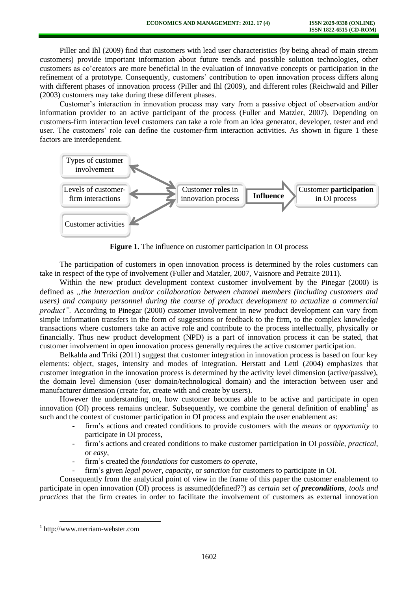Piller and Ihl (2009) find that customers with lead user characteristics (by being ahead of main stream customers) provide important information about future trends and possible solution technologies, other customers as co'creators are more beneficial in the evaluation of innovative concepts or participation in the refinement of a prototype. Consequently, customers' contribution to open innovation process differs along with different phases of innovation process (Piller and Ihl (2009), and different roles (Reichwald and Piller (2003) customers may take during these different phases.

Customer's interaction in innovation process may vary from a passive object of observation and/or information provider to an active participant of the process (Fuller and Matzler, 2007). Depending on customers-firm interaction level customers can take a role from an idea generator, developer, tester and end user. The customers' role can define the customer-firm interaction activities. As shown in figure 1 these factors are interdependent.



**Figure 1.** The influence on customer participation in OI process

The participation of customers in open innovation process is determined by the roles customers can take in respect of the type of involvement (Fuller and Matzler, 2007, Vaisnore and Petraite 2011).

Within the new product development context customer involvement by the Pinegar (2000) is defined as *"the interaction and/or collaboration between channel members (including customers and users) and company personnel during the course of product development to actualize a commercial product".* According to Pinegar (2000) customer involvement in new product development can vary from simple information transfers in the form of suggestions or feedback to the firm, to the complex knowledge transactions where customers take an active role and contribute to the process intellectually, physically or financially. Thus new product development (NPD) is a part of innovation process it can be stated, that customer involvement in open innovation process generally requires the active customer participation.

Belkahla and Triki (2011) suggest that customer integration in innovation process is based on four key elements: object, stages, intensity and modes of integration. Herstatt and Lettl (2004) emphasizes that customer integration in the innovation process is determined by the activity level dimension (active/passive), the domain level dimension (user domain/technological domain) and the interaction between user and manufacturer dimension (create for, create with and create by users).

However the understanding on, how customer becomes able to be active and participate in open innovation (OI) process remains unclear. Subsequently, we combine the general definition of enabling<sup>1</sup> as such and the context of customer participation in OI process and explain the user enablement as:

- firm's actions and created conditions to provide customers with the *means* or *opportunity* to participate in OI process,
- firm's actions and created conditions to make customer participation in OI *possible, practical*, or *easy*,
- firm's created the *foundations* for customers *to operate*,
- firm's given *legal power, capacity*, or *sanction* for customers to participate in OI.

Consequently from the analytical point of view in the frame of this paper the customer enablement to participate in open innovation (OI) process is assumed(defined??) as *certain set of preconditions, tools and practices* that the firm creates in order to facilitate the involvement of customers as external innovation

l

<sup>1</sup> [http://www.merriam-webster.com](http://www.merriam-webster.com/)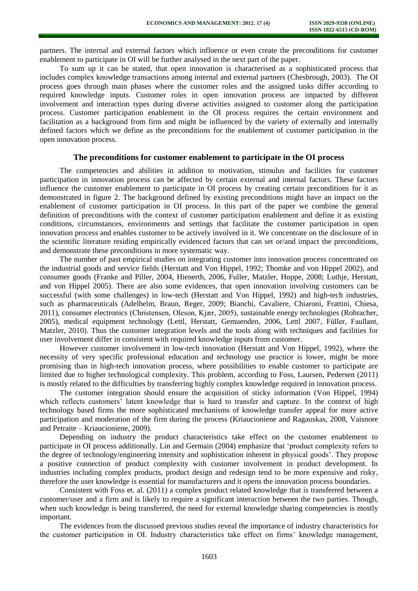partners. The internal and external factors which influence or even create the preconditions for customer enablement to participate in OI will be further analysed in the next part of the paper.

To sum up it can be stated, that open innovation is characterised as a sophisticated process that includes complex knowledge transactions among internal and external partners (Chesbrough, 2003). The OI process goes through main phases where the customer roles and the assigned tasks differ according to required knowledge inputs. Customer roles in open innovation process are impacted by different involvement and interaction types during diverse activities assigned to customer along the participation process. Customer participation enablement in the OI process requires the certain environment and facilitation as a background from firm and might be influenced by the variety of externally and internally defined factors which we define as the preconditions for the enablement of customer participation in the open innovation process.

## **The preconditions for customer enablement to participate in the OI process**

The competencies and abilities in addition to motivation, stimulus and facilities for customer participation in innovation process can be affected by certain external and internal factors. These factors influence the customer enablement to participate in OI process by creating certain preconditions for it as demonstrated in figure 2. The background defined by existing preconditions might have an impact on the enablement of customer participation in OI process. In this part of the paper we combine the general definition of preconditions with the context of customer participation enablement and define it as existing conditions, circumstances, environments and settings that facilitate the customer participation in open innovation process and enables customer to be actively involved in it. We concentrate on the disclosure of in the scientific literature residing empirically evidenced factors that can set or/and impact the preconditions, and demonstrate these preconditions in more systematic way.

The number of past empirical studies on integrating customer into innovation process concentrated on the industrial goods and service fields (Herstatt and Von Hippel, 1992; Thomke and von Hippel 2002), and consumer goods (Franke and Piller, 2004, Hienerth, 2006, Fuller, Matzler, Hoppe, 2008; Luthje, Herstatt, and von Hippel 2005). There are also some evidences, that open innovation involving customers can be successful (with some challenges) in low-tech (Herstatt and Von Hippel, 1992) and high-tech industries, such as pharmaceuticals (Adelhelm, Braun, Reger, 2009; Bianchi, Cavaliere, Chiaroni, Frattini, Chiesa, 2011), consumer electronics (Christensen, Oleson, Kjær, 2005), sustainable energy technologies (Rohracher, 2005), medical equipment technology (Lettl, Herstatt, Gemuenden, 2006, Lettl 2007, Füller, Faullant, Matzler, 2010). Thus the customer integration levels and the tools along with techniques and facilities for user involvement differ in consistent with required knowledge inputs from customer.

However customer involvement in low-tech innovation (Herstatt and Von Hippel, 1992), where the necessity of very specific professional education and technology use practice is lower, might be more promising than in high-tech innovation process, where possibilities to enable customer to participate are limited due to higher technological complexity. This problem, according to Foss, Laursen, Pedersen (2011) is mostly related to the difficulties by transferring highly complex knowledge required in innovation process.

The customer integration should ensure the acquisition of sticky information (Von Hippel, 1994) which reflects customers' latent knowledge that is hard to transfer and capture. In the context of high technology based firms the more sophisticated mechanisms of knowledge transfer appeal for more active participation and moderation of the firm during the process (Kriaucioniene and Ragauskas, 2008, Vaisnore and Petraite – Kriaucioniene, 2009).

Depending on industry the product characteristics take effect on the customer enablement to participate in OI process additionally. Lin and Germain (2004) emphasize that 'product complexity refers to the degree of technology/engineering intensity and sophistication inherent in physical goods'. They propose a positive connection of product complexity with customer involvement in product development. In industries including complex products, product design and redesign tend to be more expensive and risky, therefore the user knowledge is essential for manufacturers and it opens the innovation process boundaries.

Consistent with Foss et. al. (2011) a complex product related knowledge that is transferred between a customer/user and a firm and is likely to require a significant interaction between the two parties. Though, when such knowledge is being transferred, the need for external knowledge sharing competencies is mostly important.

The evidences from the discussed previous studies reveal the importance of industry characteristics for the customer participation in OI. Industry characteristics take effect on firms' knowledge management,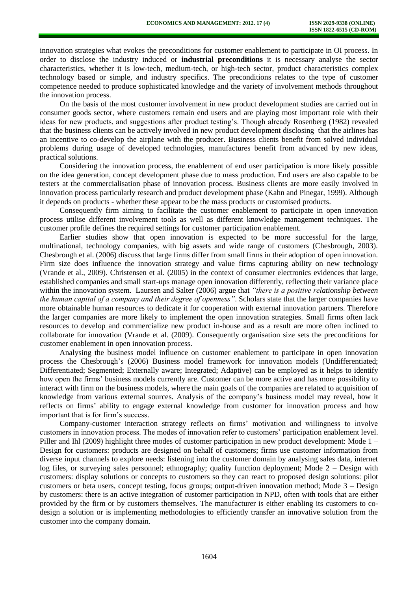innovation strategies what evokes the preconditions for customer enablement to participate in OI process. In order to disclose the industry induced or **industrial preconditions** it is necessary analyse the sector characteristics, whether it is low-tech, medium-tech, or high-tech sector, product characteristics complex technology based or simple, and industry specifics. The preconditions relates to the type of customer competence needed to produce sophisticated knowledge and the variety of involvement methods throughout the innovation process.

On the basis of the most customer involvement in new product development studies are carried out in consumer goods sector, where customers remain end users and are playing most important role with their ideas for new products, and suggestions after product testing's. Though already Rosenberg (1982) revealed that the business clients can be actively involved in new product development disclosing that the airlines has an incentive to co-develop the airplane with the producer. Business clients benefit from solved individual problems during usage of developed technologies, manufactures benefit from advanced by new ideas, practical solutions.

Considering the innovation process, the enablement of end user participation is more likely possible on the idea generation, concept development phase due to mass production. End users are also capable to be testers at the commercialisation phase of innovation process. Business clients are more easily involved in innovation process particularly research and product development phase (Kahn and Pinegar, 1999). Although it depends on products - whether these appear to be the mass products or customised products.

Consequently firm aiming to facilitate the customer enablement to participate in open innovation process utilise different involvement tools as well as different knowledge management techniques. The customer profile defines the required settings for customer participation enablement.

Earlier studies show that open innovation is expected to be more successful for the large, multinational, technology companies, with big assets and wide range of customers (Chesbrough, 2003). Chesbrough et al. (2006) discuss that large firms differ from small firms in their adoption of open innovation. Firm size does influence the innovation strategy and value firms capturing ability on new technology (Vrande et al., 2009). Christensen et al. (2005) in the context of consumer electronics evidences that large, established companies and small start-ups manage open innovation differently, reflecting their variance place within the innovation system. Laursen and Salter (2006) argue that *"there is a positive relationship between the human capital of a company and their degree of openness"*. Scholars state that the larger companies have more obtainable human resources to dedicate it for cooperation with external innovation partners. Therefore the larger companies are more likely to implement the open innovation strategies. Small firms often lack resources to develop and commercialize new product in-house and as a result are more often inclined to collaborate for innovation (Vrande et al. (2009). Consequently organisation size sets the preconditions for customer enablement in open innovation process.

Analysing the business model influence on customer enablement to participate in open innovation process the Chesbrough's (2006) Business model framework for innovation models (Undifferentiated; Differentiated; Segmented; Externally aware; Integrated; Adaptive) can be employed as it helps to identify how open the firms' business models currently are. Customer can be more active and has more possibility to interact with firm on the business models, where the main goals of the companies are related to acquisition of knowledge from various external sources. Analysis of the company's business model may reveal, how it reflects on firms' ability to engage external knowledge from customer for innovation process and how important that is for firm's success.

Company-customer interaction strategy reflects on firms' motivation and willingness to involve customers in innovation process. The modes of innovation refer to customers' participation enablement level. Piller and Ihl (2009) highlight three modes of customer participation in new product development: Mode 1 – Design for customers: products are designed on behalf of customers; firms use customer information from diverse input channels to explore needs: listening into the customer domain by analysing sales data, internet log files, or surveying sales personnel; ethnography; quality function deployment; Mode 2 – Design with customers: display solutions or concepts to customers so they can react to proposed design solutions: pilot customers or beta users, concept testing, focus groups; output-driven innovation method; Mode 3 – Design by customers: there is an active integration of customer participation in NPD, often with tools that are either provided by the firm or by customers themselves. The manufacturer is either enabling its customers to codesign a solution or is implementing methodologies to efficiently transfer an innovative solution from the customer into the company domain.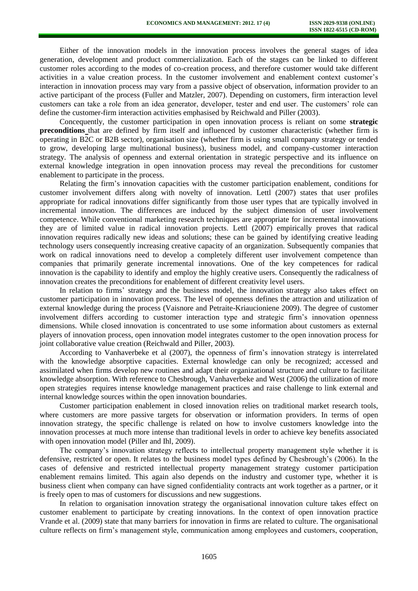Either of the innovation models in the innovation process involves the general stages of idea generation, development and product commercialization. Each of the stages can be linked to different customer roles according to the modes of co-creation process, and therefore customer would take different activities in a value creation process. In the customer involvement and enablement context customer's interaction in innovation process may vary from a passive object of observation, information provider to an active participant of the process (Fuller and Matzler, 2007). Depending on customers, firm interaction level customers can take a role from an idea generator, developer, tester and end user. The customers' role can define the customer-firm interaction activities emphasised by Reichwald and Piller (2003).

Concequently, the customer participation in open innovation process is reliant on some **strategic preconditions** that are defined by firm itself and influenced by customer characteristic (whether firm is operating in B2C or B2B sector), organisation size (whether firm is using small company strategy or tended to grow, developing large multinational business), business model, and company-customer interaction strategy. The analysis of openness and external orientation in strategic perspective and its influence on external knowledge integration in open innovation process may reveal the preconditions for customer enablement to participate in the process.

Relating the firm's innovation capacities with the customer participation enablement, conditions for customer involvement differs along with novelty of innovation. Lettl (2007) states that user profiles appropriate for radical innovations differ significantly from those user types that are typically involved in incremental innovation. The differences are induced by the subject dimension of user involvement competence. While conventional marketing research techniques are appropriate for incremental innovations they are of limited value in radical innovation projects. Lettl (2007) empirically proves that radical innovation requires radically new ideas and solutions; these can be gained by identifying creative leading technology users consequently increasing creative capacity of an organization. Subsequently companies that work on radical innovations need to develop a completely different user involvement competence than companies that primarily generate incremental innovations. One of the key competences for radical innovation is the capability to identify and employ the highly creative users. Consequently the radicalness of innovation creates the preconditions for enablement of different creativity level users.

In relation to firms' strategy and the business model, the innovation strategy also takes effect on customer participation in innovation process. The level of openness defines the attraction and utilization of external knowledge during the process (Vaisnore and Petraite-Kriaucioniene 2009). The degree of customer involvement differs according to customer interaction type and strategic firm's innovation openness dimensions. While closed innovation is concentrated to use some information about customers as external players of innovation process, open innovation model integrates customer to the open innovation process for joint collaborative value creation (Reichwald and Piller, 2003).

According to Vanhaverbeke et al (2007), the openness of firm's innovation strategy is interrelated with the knowledge absorptive capacities. External knowledge can only be recognized; accessed and assimilated when firms develop new routines and adapt their organizational structure and culture to facilitate knowledge absorption. With reference to Chesbrough, Vanhaverbeke and West (2006) the utilization of more open strategies requires intense knowledge management practices and raise challenge to link external and internal knowledge sources within the open innovation boundaries.

Customer participation enablement in closed innovation relies on traditional market research tools, where customers are more passive targets for observation or information providers. In terms of open innovation strategy, the specific challenge is related on how to involve customers knowledge into the innovation processes at much more intense than traditional levels in order to achieve key benefits associated with open innovation model (Piller and Ihl, 2009).

The company's innovation strategy reflects to intellectual property management style whether it is defensive, restricted or open. It relates to the business model types defined by Chesbrough's (2006). In the cases of defensive and restricted intellectual property management strategy customer participation enablement remains limited. This again also depends on the industry and customer type, whether it is business client when company can have signed confidentiality contracts ant work together as a partner, or it is freely open to mas of customers for discussions and new suggestions.

In relation to organisation innovation strategy the organisational innovation culture takes effect on customer enablement to participate by creating innovations. In the context of open innovation practice Vrande et al. (2009) state that many barriers for innovation in firms are related to culture. The organisational culture reflects on firm's management style, communication among employees and customers, cooperation,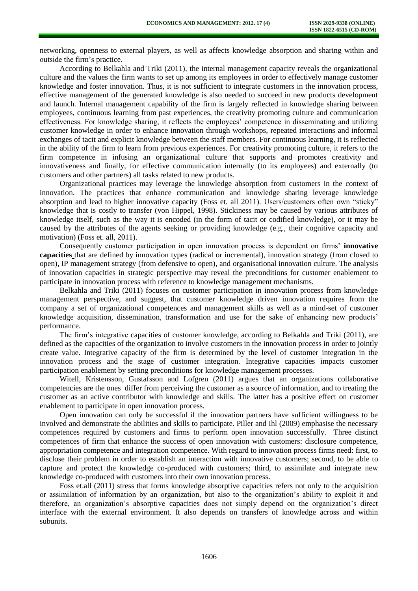networking, openness to external players, as well as affects knowledge absorption and sharing within and outside the firm's practice.

According to Belkahla and Triki (2011), the internal management capacity reveals the organizational culture and the values the firm wants to set up among its employees in order to effectively manage customer knowledge and foster innovation. Thus, it is not sufficient to integrate customers in the innovation process, effective management of the generated knowledge is also needed to succeed in new products development and launch. Internal management capability of the firm is largely reflected in knowledge sharing between employees, continuous learning from past experiences, the creativity promoting culture and communication effectiveness. For knowledge sharing, it reflects the employees' competence in disseminating and utilizing customer knowledge in order to enhance innovation through workshops, repeated interactions and informal exchanges of tacit and explicit knowledge between the staff members. For continuous learning, it is reflected in the ability of the firm to learn from previous experiences. For creativity promoting culture, it refers to the firm competence in infusing an organizational culture that supports and promotes creativity and innovativeness and finally, for effective communication internally (to its employees) and externally (to customers and other partners) all tasks related to new products.

Organizational practices may leverage the knowledge absorption from customers in the context of innovation. The practices that enhance communication and knowledge sharing leverage knowledge absorption and lead to higher innovative capacity (Foss et. all 2011). Users/customers often own "sticky" knowledge that is costly to transfer (von Hippel, 1998). Stickiness may be caused by various attributes of knowledge itself, such as the way it is encoded (in the form of tacit or codified knowledge), or it may be caused by the attributes of the agents seeking or providing knowledge (e.g., their cognitive capacity and motivation) (Foss et. all, 2011).

Consequently customer participation in open innovation process is dependent on firms' **innovative capacities** that are defined by innovation types (radical or incremental), innovation strategy (from closed to open), IP management strategy (from defensive to open), and organisational innovation culture. The analysis of innovation capacities in strategic perspective may reveal the preconditions for customer enablement to participate in innovation process with reference to knowledge management mechanisms.

Belkahla and Triki (2011) focuses on customer participation in innovation process from knowledge management perspective, and suggest, that customer knowledge driven innovation requires from the company a set of organizational competences and management skills as well as a mind-set of customer knowledge acquisition, dissemination, transformation and use for the sake of enhancing new products' performance.

The firm's integrative capacities of customer knowledge, according to Belkahla and Triki (2011), are defined as the capacities of the organization to involve customers in the innovation process in order to jointly create value. Integrative capacity of the firm is determined by the level of customer integration in the innovation process and the stage of customer integration. Integrative capacities impacts customer participation enablement by setting preconditions for knowledge management processes.

Witell, Kristensson, Gustafsson and Lofgren (2011) argues that an organizations collaborative competencies are the ones differ from perceiving the customer as a source of information, and to treating the customer as an active contributor with knowledge and skills. The latter has a positive effect on customer enablement to participate in open innovation process.

Open innovation can only be successful if the innovation partners have sufficient willingness to be involved and demonstrate the abilities and skills to participate. Piller and Ihl (2009) emphasise the necessary competences required by customers and firms to perform open innovation successfully. Three distinct competences of firm that enhance the success of open innovation with customers: disclosure competence, appropriation competence and integration competence. With regard to innovation process firms need: first, to disclose their problem in order to establish an interaction with innovative customers; second, to be able to capture and protect the knowledge co-produced with customers; third, to assimilate and integrate new knowledge co-produced with customers into their own innovation process.

Foss et.all (2011) stress that forms knowledge absorptive capacities refers not only to the acquisition or assimilation of information by an organization, but also to the organization's ability to exploit it and therefore, an organization's absorptive capacities does not simply depend on the organization's direct interface with the external environment. It also depends on transfers of knowledge across and within subunits.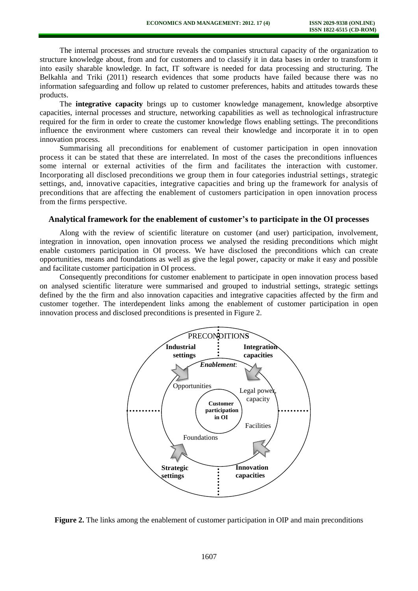The internal processes and structure reveals the companies structural capacity of the organization to structure knowledge about, from and for customers and to classify it in data bases in order to transform it into easily sharable knowledge. In fact, IT software is needed for data processing and structuring. The Belkahla and Triki (2011) research evidences that some products have failed because there was no information safeguarding and follow up related to customer preferences, habits and attitudes towards these products.

The **integrative capacity** brings up to customer knowledge management, knowledge absorptive capacities, internal processes and structure, networking capabilities as well as technological infrastructure required for the firm in order to create the customer knowledge flows enabling settings. The preconditions influence the environment where customers can reveal their knowledge and incorporate it in to open innovation process.

Summarising all preconditions for enablement of customer participation in open innovation process it can be stated that these are interrelated. In most of the cases the preconditions influences some internal or external activities of the firm and facilitates the interaction with customer. Incorporating all disclosed preconditions we group them in four categories industrial settings, strategic settings, and, innovative capacities, integrative capacities and bring up the framework for analysis of preconditions that are affecting the enablement of customers participation in open innovation process from the firms perspective.

## **Analytical framework for the enablement of customer's to participate in the OI processes**

Along with the review of scientific literature on customer (and user) participation, involvement, integration in innovation, open innovation process we analysed the residing preconditions which might enable customers participation in OI process. We have disclosed the preconditions which can create opportunities, means and foundations as well as give the legal power, capacity or make it easy and possible and facilitate customer participation in OI process.

Consequently preconditions for customer enablement to participate in open innovation process based on analysed scientific literature were summarised and grouped to industrial settings, strategic settings defined by the the firm and also innovation capacities and integrative capacities affected by the firm and customer together. The interdependent links among the enablement of customer participation in open innovation process and disclosed preconditions is presented in Figure 2.



**Figure 2.** The links among the enablement of customer participation in OIP and main preconditions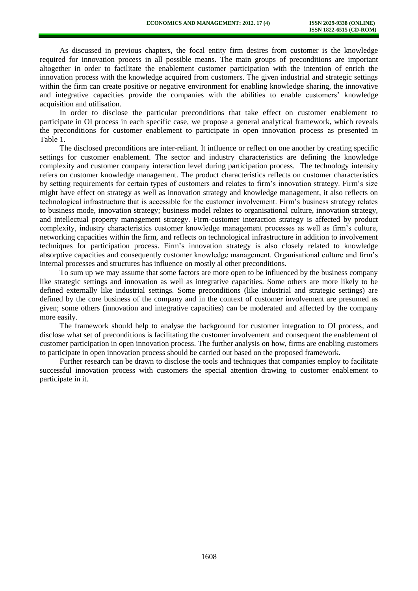As discussed in previous chapters, the focal entity firm desires from customer is the knowledge required for innovation process in all possible means. The main groups of preconditions are important altogether in order to facilitate the enablement customer participation with the intention of enrich the innovation process with the knowledge acquired from customers. The given industrial and strategic settings within the firm can create positive or negative environment for enabling knowledge sharing, the innovative and integrative capacities provide the companies with the abilities to enable customers' knowledge acquisition and utilisation.

In order to disclose the particular preconditions that take effect on customer enablement to participate in OI process in each specific case, we propose a general analytical framework, which reveals the preconditions for customer enablement to participate in open innovation process as presented in Table 1.

The disclosed preconditions are inter-reliant. It influence or reflect on one another by creating specific settings for customer enablement. The sector and industry characteristics are defining the knowledge complexity and customer company interaction level during participation process. The technology intensity refers on customer knowledge management. The product characteristics reflects on customer characteristics by setting requirements for certain types of customers and relates to firm's innovation strategy. Firm's size might have effect on strategy as well as innovation strategy and knowledge management, it also reflects on technological infrastructure that is accessible for the customer involvement. Firm's business strategy relates to business mode, innovation strategy; business model relates to organisational culture, innovation strategy, and intellectual property management strategy. Firm-customer interaction strategy is affected by product complexity, industry characteristics customer knowledge management processes as well as firm's culture, networking capacities within the firm, and reflects on technological infrastructure in addition to involvement techniques for participation process. Firm's innovation strategy is also closely related to knowledge absorptive capacities and consequently customer knowledge management. Organisational culture and firm's internal processes and structures has influence on mostly al other preconditions.

To sum up we may assume that some factors are more open to be influenced by the business company like strategic settings and innovation as well as integrative capacities. Some others are more likely to be defined externally like industrial settings. Some preconditions (like industrial and strategic settings) are defined by the core business of the company and in the context of customer involvement are presumed as given; some others (innovation and integrative capacities) can be moderated and affected by the company more easily.

The framework should help to analyse the background for customer integration to OI process, and disclose what set of preconditions is facilitating the customer involvement and consequent the enablement of customer participation in open innovation process. The further analysis on how, firms are enabling customers to participate in open innovation process should be carried out based on the proposed framework.

Further research can be drawn to disclose the tools and techniques that companies employ to facilitate successful innovation process with customers the special attention drawing to customer enablement to participate in it.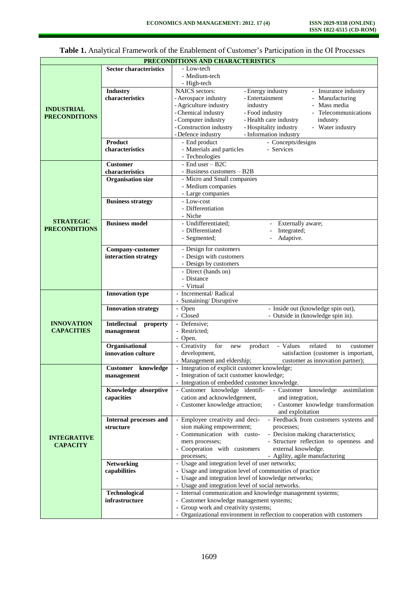| PRECONDITIONS AND CHARACTERISTICS |                                 |                                                                                                                  |
|-----------------------------------|---------------------------------|------------------------------------------------------------------------------------------------------------------|
|                                   | <b>Sector characteristics</b>   | - Low-tech                                                                                                       |
|                                   |                                 | - Medium-tech                                                                                                    |
|                                   |                                 | - High-tech                                                                                                      |
|                                   | <b>Industry</b>                 | <b>NAICS</b> sectors:<br>- Energy industry<br>- Insurance industry                                               |
|                                   | characteristics                 | - Aerospace industry<br>- Entertainment<br>- Manufacturing                                                       |
|                                   |                                 | - Agriculture industry<br>Mass media<br>industry                                                                 |
| <b>INDUSTRIAL</b>                 |                                 | - Chemical industry<br>- Food industry<br>- Telecommunications                                                   |
| <b>PRECONDITIONS</b>              |                                 | - Health care industry<br>- Computer industry<br>industry                                                        |
|                                   |                                 | - Construction industry<br>- Hospitality industry<br>- Water industry                                            |
|                                   |                                 | - Defence industry<br>- Information industry                                                                     |
|                                   | Product                         | - End product<br>- Concepts/designs                                                                              |
|                                   | characteristics                 | - Materials and particles<br>- Services                                                                          |
|                                   |                                 | - Technologies                                                                                                   |
|                                   | <b>Customer</b>                 | - End user - B2C                                                                                                 |
|                                   | characteristics                 | - Business customers – B2B                                                                                       |
|                                   | <b>Organisation size</b>        | - Micro and Small companies                                                                                      |
|                                   |                                 | - Medium companies                                                                                               |
|                                   |                                 | - Large companies                                                                                                |
|                                   | <b>Business strategy</b>        | - Low-cost                                                                                                       |
|                                   |                                 | - Differentiation                                                                                                |
| <b>STRATEGIC</b>                  |                                 | - Niche                                                                                                          |
| <b>PRECONDITIONS</b>              | <b>Business model</b>           | - Undifferentiated;<br>Externally aware;                                                                         |
|                                   |                                 | - Differentiated<br>Integrated;                                                                                  |
|                                   |                                 | - Segmented;<br>Adaptive.                                                                                        |
|                                   | Company-customer                | - Design for customers                                                                                           |
|                                   | interaction strategy            | - Design with customers                                                                                          |
|                                   |                                 | - Design by customers                                                                                            |
|                                   |                                 | - Direct (hands on)                                                                                              |
|                                   |                                 | - Distance                                                                                                       |
|                                   |                                 | - Virtual                                                                                                        |
|                                   | <b>Innovation type</b>          | - Incremental/Radical                                                                                            |
|                                   |                                 | - Sustaining/Disruptive                                                                                          |
|                                   | <b>Innovation strategy</b>      | - Open<br>- Inside out (knowledge spin out),                                                                     |
|                                   |                                 | - Closed<br>- Outside in (knowledge spin in).                                                                    |
| <b>INNOVATION</b>                 | <b>Intellectual</b><br>property | - Defensive;                                                                                                     |
| <b>CAPACITIES</b>                 | management                      | - Restricted:                                                                                                    |
|                                   |                                 | - Open.                                                                                                          |
|                                   | Organisational                  | - Creativity<br>for<br>product<br>- Values<br>related<br>new<br>to<br>customer                                   |
|                                   | innovation culture              | satisfaction (customer is important,<br>development,                                                             |
|                                   |                                 | customer as innovation partner);<br>- Management and eldership;<br>- Integration of explicit customer knowledge; |
|                                   | Customer knowledge              | - Integration of tacit customer knowledge;                                                                       |
|                                   | management                      | - Integration of embedded customer knowledge.                                                                    |
|                                   | Knowledge absorptive            | - Customer knowledge identifi-<br>knowledge<br>assimilation<br>- Customer                                        |
|                                   | capacities                      | cation and acknowledgement,<br>and integration,                                                                  |
|                                   |                                 | - Customer knowledge transformation<br>- Customer knowledge attraction;                                          |
|                                   |                                 | and exploitation                                                                                                 |
|                                   | Internal processes and          | - Employee creativity and deci-<br>- Feedback from customers systems and                                         |
|                                   | structure                       | sion making empowerment;<br>processes;                                                                           |
|                                   |                                 | - Communication with custo-<br>- Decision making characteristics;                                                |
| <b>INTEGRATIVE</b>                |                                 | - Structure reflection to openness and<br>mers processes;                                                        |
| <b>CAPACITY</b>                   |                                 | external knowledge.<br>- Cooperation with customers                                                              |
|                                   |                                 | - Agility, agile manufacturing<br>processes;                                                                     |
|                                   | <b>Networking</b>               | - Usage and integration level of user networks;                                                                  |
|                                   | capabilities                    | - Usage and integration level of communities of practice                                                         |
|                                   |                                 | - Usage and integration level of knowledge networks;                                                             |
|                                   |                                 | - Usage and integration level of social networks.                                                                |
|                                   | Technological                   | - Internal communication and knowledge management systems;                                                       |
|                                   | infrastructure                  | - Customer knowledge management systems;                                                                         |
|                                   |                                 | - Group work and creativity systems;                                                                             |
|                                   |                                 | - Organizational environment in reflection to cooperation with customers                                         |

**Table 1.** Analytical Framework of the Enablement of Customer's Participation in the OI Processes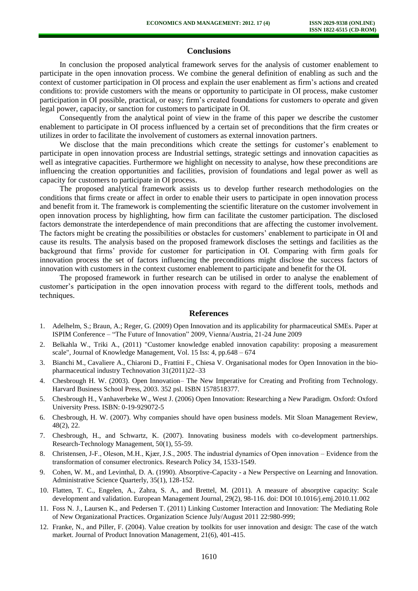## **Conclusions**

In conclusion the proposed analytical framework serves for the analysis of customer enablement to participate in the open innovation process. We combine the general definition of enabling as such and the context of customer participation in OI process and explain the user enablement as firm's actions and created conditions to: provide customers with the means or opportunity to participate in OI process, make customer participation in OI possible, practical, or easy; firm's created foundations for customers to operate and given legal power, capacity, or sanction for customers to participate in OI.

Consequently from the analytical point of view in the frame of this paper we describe the customer enablement to participate in OI process influenced by a certain set of preconditions that the firm creates or utilizes in order to facilitate the involvement of customers as external innovation partners.

We disclose that the main preconditions which create the settings for customer's enablement to participate in open innovation process are Industrial settings, strategic settings and innovation capacities as well as integrative capacities. Furthermore we highlight on necessity to analyse, how these preconditions are influencing the creation opportunities and facilities, provision of foundations and legal power as well as capacity for customers to participate in OI process.

The proposed analytical framework assists us to develop further research methodologies on the conditions that firms create or affect in order to enable their users to participate in open innovation process and benefit from it. The framework is complementing the scientific literature on the customer involvement in open innovation process by highlighting, how firm can facilitate the customer participation. The disclosed factors demonstrate the interdependence of main preconditions that are affecting the customer involvement. The factors might be creating the possibilities or obstacles for customers' enablement to participate in OI and cause its results. The analysis based on the proposed framework discloses the settings and facilities as the background that firms' provide for customer for participation in OI. Comparing with firm goals for innovation process the set of factors influencing the preconditions might disclose the success factors of innovation with customers in the context customer enablement to participate and benefit for the OI.

The proposed framework in further research can be utilised in order to analyse the enablement of customer's participation in the open innovation process with regard to the different tools, methods and techniques.

#### **References**

- 1. Adelhelm, S.; Braun, A.; Reger, G. (2009) Open Innovation and its applicability for pharmaceutical SMEs. Paper at ISPIM Conference – "The Future of Innovation" 2009, Vienna/Austria, 21-24 June 2009
- 2. Belkahla W., Triki A., (2011) "Customer knowledge enabled innovation capability: proposing a measurement scale", Journal of Knowledge Management, Vol. 15 Iss: 4, pp.648 – 674
- 3. Bianchi M., Cavaliere A., Chiaroni D., Frattini F., Chiesa V. Organisational modes for Open Innovation in the biopharmaceutical industry Technovation 31(2011)22–33
- 4. Chesbrough H. W. (2003). Open Innovation– The New Imperative for Creating and Profiting from Technology. Harvard Business School Press, 2003. 352 psl. ISBN 1578518377.
- 5. Chesbrough H., Vanhaverbeke W., West J. (2006) Open Innovation: Researching a New Paradigm. Oxford: Oxford University Press. ISBN: 0-19-929072-5
- 6. Chesbrough, H. W. (2007). Why companies should have open business models. Mit Sloan Management Review, 48(2), 22.
- 7. Chesbrough, H., and Schwartz, K. (2007). Innovating business models with co-development partnerships. Research-Technology Management, 50(1), 55-59.
- 8. Christensen, J-F., Oleson, M.H., Kjær, J.S., 2005. The industrial dynamics of Open innovation Evidence from the transformation of consumer electronics. Research Policy 34, 1533-1549.
- 9. Cohen, W. M., and Levinthal, D. A. (1990). Absorptive-Capacity a New Perspective on Learning and Innovation. Administrative Science Quarterly, 35(1), 128-152.
- 10. Flatten, T. C., Engelen, A., Zahra, S. A., and Brettel, M. (2011). A measure of absorptive capacity: Scale development and validation. European Management Journal, 29(2), 98-116. doi: DOI 10.1016/j.emj.2010.11.002
- 11. Foss N. J., Laursen K., and Pedersen T. (2011) Linking Customer Interaction and Innovation: The Mediating Role of New Organizational Practices. Organization Science July/August 2011 22:980-999;
- 12. Franke, N., and Piller, F. (2004). Value creation by toolkits for user innovation and design: The case of the watch market. Journal of Product Innovation Management, 21(6), 401-415.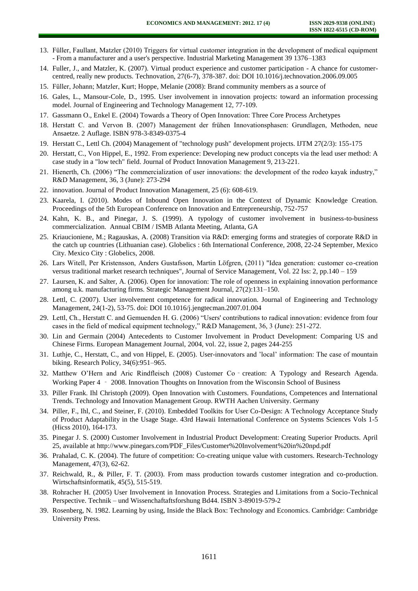- 13. Füller, Faullant, Matzler (2010) Triggers for virtual customer integration in the development of medical equipment - From a manufacturer and a user's perspective. Industrial Marketing Management 39 1376–1383
- 14. Fuller, J., and Matzler, K. (2007). Virtual product experience and customer participation A chance for customercentred, really new products. Technovation, 27(6-7), 378-387. doi: DOI 10.1016/j.technovation.2006.09.005
- 15. Füller, Johann; Matzler, Kurt; Hoppe, Melanie (2008): Brand community members as a source of
- 16. Gales, L., Mansour-Cole, D., 1995. User involvement in innovation projects: toward an information processing model. Journal of Engineering and Technology Management 12, 77-109.
- 17. Gassmann O., Enkel E. (2004) Towards a Theory of Open Innovation: Three Core Process Archetypes
- 18. Herstatt C. and Vervon B. (2007) Management der frühen Innovationsphasen: Grundlagen, Methoden, neue Ansaetze. 2 Auflage. ISBN 978-3-8349-0375-4
- 19. Herstatt C., Lettl Ch. (2004) Management of "technology push" development projects. IJTM 27(2/3): 155-175
- 20. Herstatt, C., Von Hippel, E., 1992. From experience: Developing new product concepts via the lead user method: A case study in a "low tech" field. Journal of Product Innovation Management 9, 213-221.
- 21. Hienerth, Ch. (2006) "The commercialization of user innovations: the development of the rodeo kayak industry," R&D Management, 36, 3 (June): 273-294
- 22. innovation. Journal of Product Innovation Management, 25 (6): 608-619.
- 23. Kaarela, I. (2010). Modes of Inbound Open Innovation in the Context of Dynamic Knowledge Creation. Proceedings of the 5th European Conference on Innovation and Entrepreneurship, 752-757
- 24. Kahn, K. B., and Pinegar, J. S. (1999). A typology of customer involvement in business-to-business commercialization. Annual CBIM / ISMB Atlanta Meeting, Atlanta, GA
- 25. Kriaucioniene, M.; Ragauskas, A. (2008) Transition via R&D: emerging forms and strategies of corporate R&D in the catch up countries (Lithuanian case). Globelics : 6th International Conference, 2008, 22-24 September, Mexico City. Mexico City : Globelics, 2008.
- 26. Lars Witell, Per Kristensson, Anders Gustafsson, Martin Löfgren, (2011) "Idea generation: customer co-creation versus traditional market research techniques", Journal of Service Management, Vol. 22 Iss: 2, pp.140 – 159
- 27. Laursen, K. and Salter, A. (2006). Open for innovation: The role of openness in explaining innovation performance among u.k. manufacturing firms. Strategic Management Journal, 27(2):131–150.
- 28. Lettl, C. (2007). User involvement competence for radical innovation. Journal of Engineering and Technology Management, 24(1-2), 53-75. doi: DOI 10.1016/j.jengtecman.2007.01.004
- 29. Lettl, Ch., Herstatt C. and Gemuenden H. G. (2006) "Users' contributions to radical innovation: evidence from four cases in the field of medical equipment technology," R&D Management, 36, 3 (June): 251-272.
- 30. Lin and Germain (2004) Antecedents to Customer Involvement in Product Development: Comparing US and Chinese Firms. European Management Journal, 2004, vol. 22, issue 2, pages 244-255
- 31. Luthje, C., Herstatt, C., and von Hippel, E. (2005). User-innovators and 'local' information: The case of mountain biking. Research Policy, 34(6):951–965.
- 32. Matthew O'Hern and Aric Rindfleisch (2008) Customer Co‐creation: A Typology and Research Agenda. Working Paper 4 – 2008. Innovation Thoughts on Innovation from the Wisconsin School of Business
- 33. Piller Frank. Ihl Christoph (2009). Open Innovation with Customers. Foundations, Competences and International Trends. Technology and Innovation Management Group. RWTH Aachen University. Germany
- 34. Piller, F., Ihl, C., and Steiner, F. (2010). Embedded Toolkits for User Co-Design: A Technology Acceptance Study of Product Adaptability in the Usage Stage. 43rd Hawaii International Conference on Systems Sciences Vols 1-5 (Hicss 2010), 164-173.
- 35. Pinegar J. S. (2000) Customer Involvement in Industrial Product Development: Creating Superior Products. April 25, available at http://www.pinegars.com/PDF\_Files/Customer%20Involvement%20in%20npd.pdf
- 36. Prahalad, C. K. (2004). The future of competition: Co-creating unique value with customers. Research-Technology Management, 47(3), 62-62.
- 37. Reichwald, R., & Piller, F. T. (2003). From mass production towards customer integration and co-production. Wirtschaftsinformatik, 45(5), 515-519.
- 38. Rohracher H. (2005) User Involvement in Innovation Process. Strategies and Limitations from a Socio-Technical Perspective. Technik – und Wissenchaftaftsforshung Bd44. ISBN 3-89019-579-2
- 39. Rosenberg, N. 1982. Learning by using, Inside the Black Box: Technology and Economics. Cambridge: Cambridge University Press.